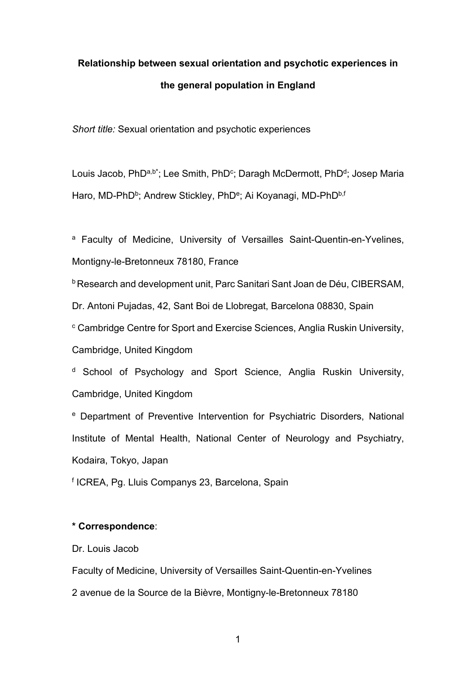# **Relationship between sexual orientation and psychotic experiences in the general population in England**

*Short title:* Sexual orientation and psychotic experiences

Louis Jacob, PhD<sup>a,b\*</sup>; Lee Smith, PhD<sup>c</sup>; Daragh McDermott, PhD<sup>d</sup>; Josep Maria Haro, MD-PhD<sup>b</sup>; Andrew Stickley, PhD<sup>e</sup>; Ai Koyanagi, MD-PhD<sup>b,f</sup>

a Faculty of Medicine, University of Versailles Saint-Quentin-en-Yvelines, Montigny-le-Bretonneux 78180, France

b Research and development unit, Parc Sanitari Sant Joan de Déu, CIBERSAM,

Dr. Antoni Pujadas, 42, Sant Boi de Llobregat, Barcelona 08830, Spain

<sup>c</sup> Cambridge Centre for Sport and Exercise Sciences, Anglia Ruskin University,

Cambridge, United Kingdom

<sup>d</sup> School of Psychology and Sport Science, Anglia Ruskin University, Cambridge, United Kingdom

<sup>e</sup> Department of Preventive Intervention for Psychiatric Disorders, National Institute of Mental Health, National Center of Neurology and Psychiatry, Kodaira, Tokyo, Japan

<sup>f</sup> ICREA, Pg. Lluis Companys 23, Barcelona, Spain

# **\* Correspondence**:

Dr. Louis Jacob

Faculty of Medicine, University of Versailles Saint-Quentin-en-Yvelines 2 avenue de la Source de la Bièvre, Montigny-le-Bretonneux 78180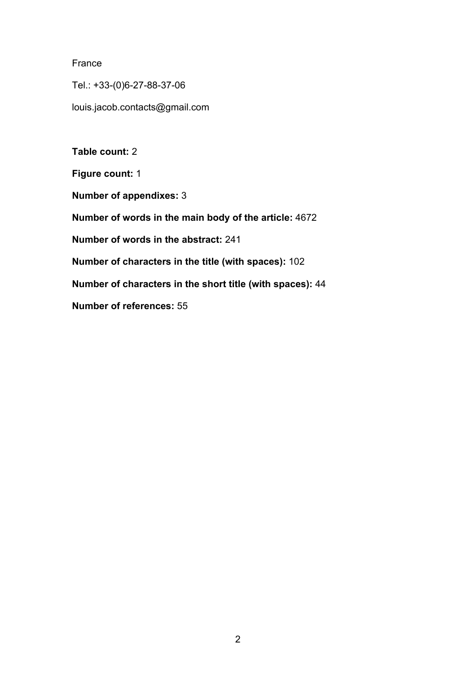## France

Tel.: +33-(0)6-27-88-37-06

louis.jacob.contacts@gmail.com

**Table count:** 2

**Figure count:** 1

**Number of appendixes:** 3

**Number of words in the main body of the article:** 4672

**Number of words in the abstract:** 241

**Number of characters in the title (with spaces):** 102

**Number of characters in the short title (with spaces):** 44

**Number of references:** 55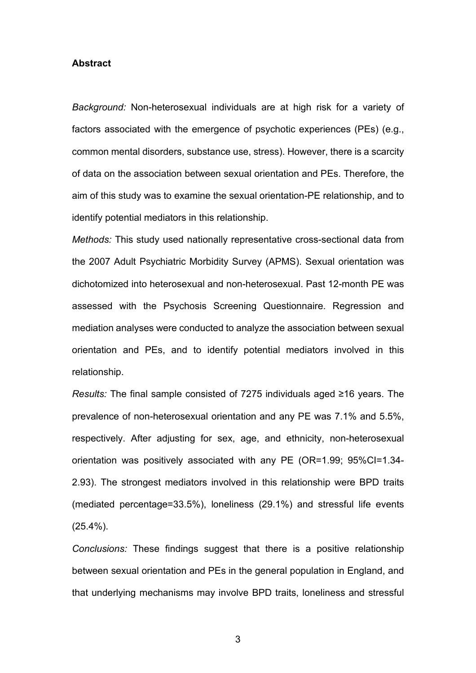#### **Abstract**

*Background:* Non-heterosexual individuals are at high risk for a variety of factors associated with the emergence of psychotic experiences (PEs) (e.g., common mental disorders, substance use, stress). However, there is a scarcity of data on the association between sexual orientation and PEs. Therefore, the aim of this study was to examine the sexual orientation-PE relationship, and to identify potential mediators in this relationship.

*Methods:* This study used nationally representative cross-sectional data from the 2007 Adult Psychiatric Morbidity Survey (APMS). Sexual orientation was dichotomized into heterosexual and non-heterosexual. Past 12-month PE was assessed with the Psychosis Screening Questionnaire. Regression and mediation analyses were conducted to analyze the association between sexual orientation and PEs, and to identify potential mediators involved in this relationship.

*Results:* The final sample consisted of 7275 individuals aged ≥16 years. The prevalence of non-heterosexual orientation and any PE was 7.1% and 5.5%, respectively. After adjusting for sex, age, and ethnicity, non-heterosexual orientation was positively associated with any PE (OR=1.99; 95%CI=1.34- 2.93). The strongest mediators involved in this relationship were BPD traits (mediated percentage=33.5%), loneliness (29.1%) and stressful life events (25.4%).

*Conclusions:* These findings suggest that there is a positive relationship between sexual orientation and PEs in the general population in England, and that underlying mechanisms may involve BPD traits, loneliness and stressful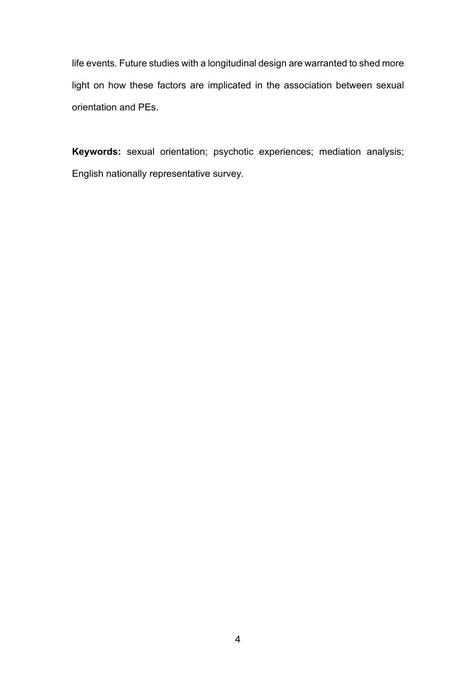life events. Future studies with a longitudinal design are warranted to shed more light on how these factors are implicated in the association between sexual orientation and PEs.

**Keywords:** sexual orientation; psychotic experiences; mediation analysis; English nationally representative survey.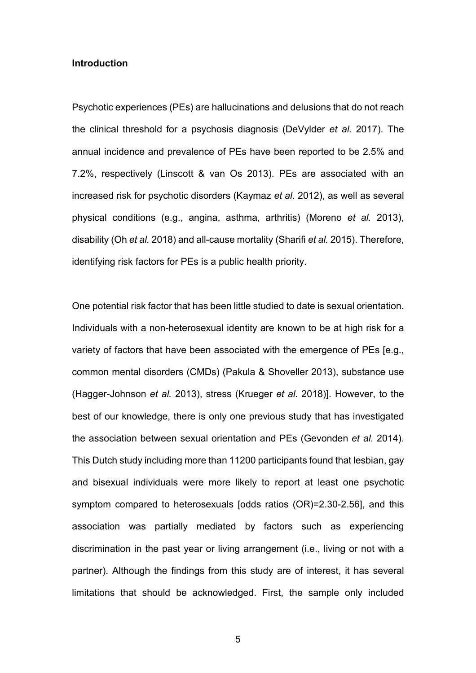## **Introduction**

Psychotic experiences (PEs) are hallucinations and delusions that do not reach the clinical threshold for a psychosis diagnosis (DeVylder *et al.* 2017). The annual incidence and prevalence of PEs have been reported to be 2.5% and 7.2%, respectively (Linscott & van Os 2013). PEs are associated with an increased risk for psychotic disorders (Kaymaz *et al.* 2012), as well as several physical conditions (e.g., angina, asthma, arthritis) (Moreno *et al.* 2013), disability (Oh *et al.* 2018) and all-cause mortality (Sharifi *et al.* 2015). Therefore, identifying risk factors for PEs is a public health priority.

One potential risk factor that has been little studied to date is sexual orientation. Individuals with a non-heterosexual identity are known to be at high risk for a variety of factors that have been associated with the emergence of PEs [e.g., common mental disorders (CMDs) (Pakula & Shoveller 2013), substance use (Hagger-Johnson *et al.* 2013), stress (Krueger *et al.* 2018)]. However, to the best of our knowledge, there is only one previous study that has investigated the association between sexual orientation and PEs (Gevonden *et al.* 2014). This Dutch study including more than 11200 participants found that lesbian, gay and bisexual individuals were more likely to report at least one psychotic symptom compared to heterosexuals [odds ratios (OR)=2.30-2.56], and this association was partially mediated by factors such as experiencing discrimination in the past year or living arrangement (i.e., living or not with a partner). Although the findings from this study are of interest, it has several limitations that should be acknowledged. First, the sample only included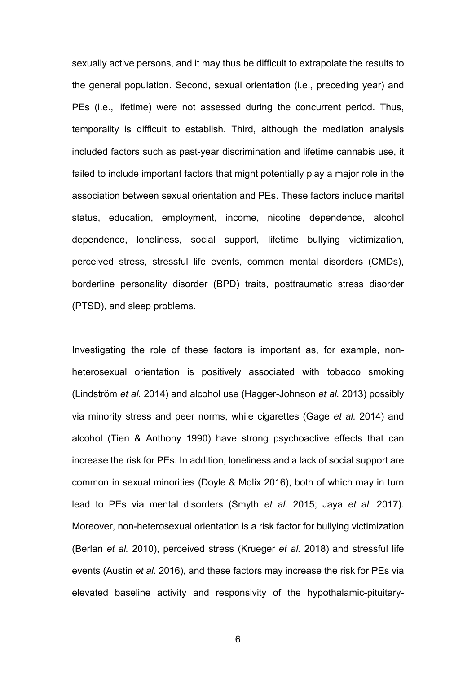sexually active persons, and it may thus be difficult to extrapolate the results to the general population. Second, sexual orientation (i.e., preceding year) and PEs (i.e., lifetime) were not assessed during the concurrent period. Thus, temporality is difficult to establish. Third, although the mediation analysis included factors such as past-year discrimination and lifetime cannabis use, it failed to include important factors that might potentially play a major role in the association between sexual orientation and PEs. These factors include marital status, education, employment, income, nicotine dependence, alcohol dependence, loneliness, social support, lifetime bullying victimization, perceived stress, stressful life events, common mental disorders (CMDs), borderline personality disorder (BPD) traits, posttraumatic stress disorder (PTSD), and sleep problems.

Investigating the role of these factors is important as, for example, nonheterosexual orientation is positively associated with tobacco smoking (Lindström *et al.* 2014) and alcohol use (Hagger-Johnson *et al.* 2013) possibly via minority stress and peer norms, while cigarettes (Gage *et al.* 2014) and alcohol (Tien & Anthony 1990) have strong psychoactive effects that can increase the risk for PEs. In addition, loneliness and a lack of social support are common in sexual minorities (Doyle & Molix 2016), both of which may in turn lead to PEs via mental disorders (Smyth *et al.* 2015; Jaya *et al.* 2017). Moreover, non-heterosexual orientation is a risk factor for bullying victimization (Berlan *et al.* 2010), perceived stress (Krueger *et al.* 2018) and stressful life events (Austin *et al.* 2016), and these factors may increase the risk for PEs via elevated baseline activity and responsivity of the hypothalamic-pituitary-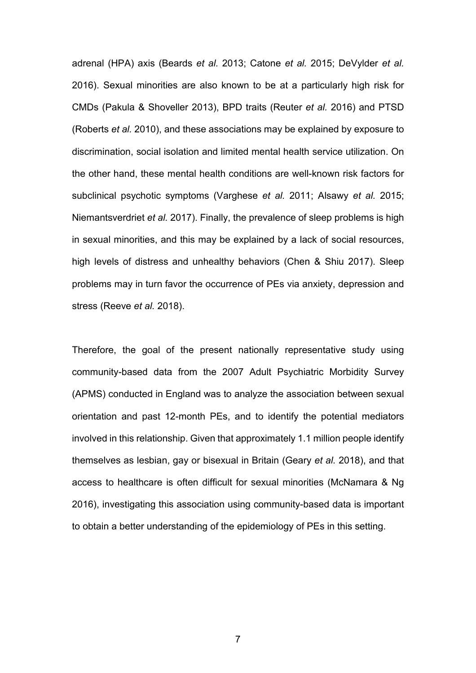adrenal (HPA) axis (Beards *et al.* 2013; Catone *et al.* 2015; DeVylder *et al.* 2016). Sexual minorities are also known to be at a particularly high risk for CMDs (Pakula & Shoveller 2013), BPD traits (Reuter *et al.* 2016) and PTSD (Roberts *et al.* 2010), and these associations may be explained by exposure to discrimination, social isolation and limited mental health service utilization. On the other hand, these mental health conditions are well-known risk factors for subclinical psychotic symptoms (Varghese *et al.* 2011; Alsawy *et al.* 2015; Niemantsverdriet *et al.* 2017). Finally, the prevalence of sleep problems is high in sexual minorities, and this may be explained by a lack of social resources, high levels of distress and unhealthy behaviors (Chen & Shiu 2017). Sleep problems may in turn favor the occurrence of PEs via anxiety, depression and stress (Reeve *et al.* 2018).

Therefore, the goal of the present nationally representative study using community-based data from the 2007 Adult Psychiatric Morbidity Survey (APMS) conducted in England was to analyze the association between sexual orientation and past 12-month PEs, and to identify the potential mediators involved in this relationship. Given that approximately 1.1 million people identify themselves as lesbian, gay or bisexual in Britain (Geary *et al.* 2018), and that access to healthcare is often difficult for sexual minorities (McNamara & Ng 2016), investigating this association using community-based data is important to obtain a better understanding of the epidemiology of PEs in this setting.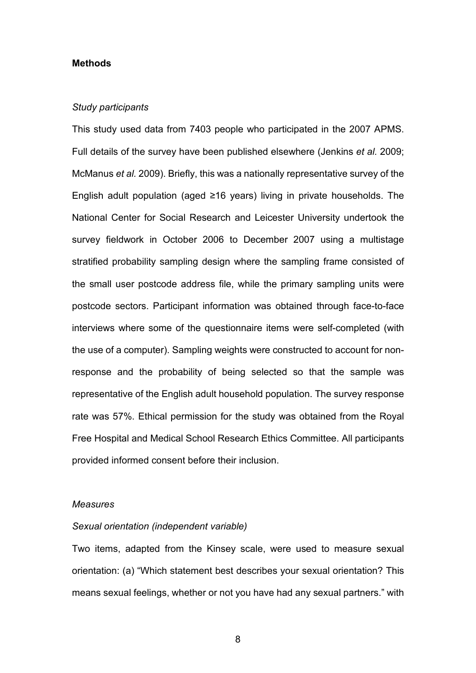#### **Methods**

#### *Study participants*

This study used data from 7403 people who participated in the 2007 APMS. Full details of the survey have been published elsewhere (Jenkins *et al.* 2009; McManus *et al.* 2009). Briefly, this was a nationally representative survey of the English adult population (aged ≥16 years) living in private households. The National Center for Social Research and Leicester University undertook the survey fieldwork in October 2006 to December 2007 using a multistage stratified probability sampling design where the sampling frame consisted of the small user postcode address file, while the primary sampling units were postcode sectors. Participant information was obtained through face-to-face interviews where some of the questionnaire items were self-completed (with the use of a computer). Sampling weights were constructed to account for nonresponse and the probability of being selected so that the sample was representative of the English adult household population. The survey response rate was 57%. Ethical permission for the study was obtained from the Royal Free Hospital and Medical School Research Ethics Committee. All participants provided informed consent before their inclusion.

#### *Measures*

#### *Sexual orientation (independent variable)*

Two items, adapted from the Kinsey scale, were used to measure sexual orientation: (a) "Which statement best describes your sexual orientation? This means sexual feelings, whether or not you have had any sexual partners." with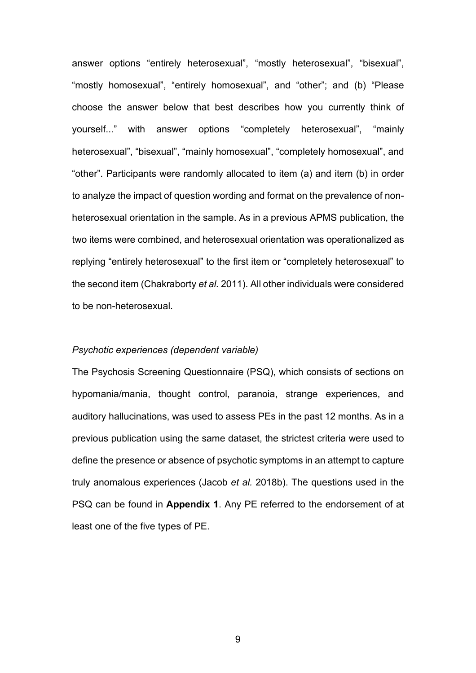answer options "entirely heterosexual", "mostly heterosexual", "bisexual", "mostly homosexual", "entirely homosexual", and "other"; and (b) "Please choose the answer below that best describes how you currently think of yourself..." with answer options "completely heterosexual", "mainly heterosexual", "bisexual", "mainly homosexual", "completely homosexual", and "other". Participants were randomly allocated to item (a) and item (b) in order to analyze the impact of question wording and format on the prevalence of nonheterosexual orientation in the sample. As in a previous APMS publication, the two items were combined, and heterosexual orientation was operationalized as replying "entirely heterosexual" to the first item or "completely heterosexual" to the second item (Chakraborty *et al.* 2011). All other individuals were considered to be non-heterosexual.

#### *Psychotic experiences (dependent variable)*

The Psychosis Screening Questionnaire (PSQ), which consists of sections on hypomania/mania, thought control, paranoia, strange experiences, and auditory hallucinations, was used to assess PEs in the past 12 months. As in a previous publication using the same dataset, the strictest criteria were used to define the presence or absence of psychotic symptoms in an attempt to capture truly anomalous experiences (Jacob *et al.* 2018b). The questions used in the PSQ can be found in **Appendix 1**. Any PE referred to the endorsement of at least one of the five types of PE.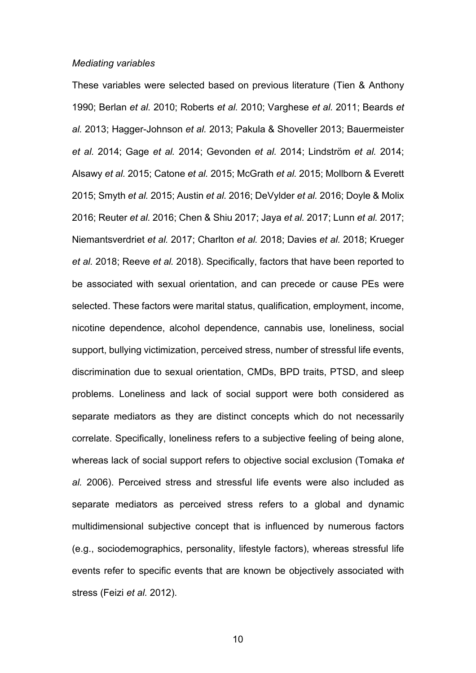#### *Mediating variables*

These variables were selected based on previous literature (Tien & Anthony 1990; Berlan *et al.* 2010; Roberts *et al.* 2010; Varghese *et al.* 2011; Beards *et al.* 2013; Hagger-Johnson *et al.* 2013; Pakula & Shoveller 2013; Bauermeister *et al.* 2014; Gage *et al.* 2014; Gevonden *et al.* 2014; Lindström *et al.* 2014; Alsawy *et al.* 2015; Catone *et al.* 2015; McGrath *et al.* 2015; Mollborn & Everett 2015; Smyth *et al.* 2015; Austin *et al.* 2016; DeVylder *et al.* 2016; Doyle & Molix 2016; Reuter *et al.* 2016; Chen & Shiu 2017; Jaya *et al.* 2017; Lunn *et al.* 2017; Niemantsverdriet *et al.* 2017; Charlton *et al.* 2018; Davies *et al.* 2018; Krueger *et al.* 2018; Reeve *et al.* 2018). Specifically, factors that have been reported to be associated with sexual orientation, and can precede or cause PEs were selected. These factors were marital status, qualification, employment, income, nicotine dependence, alcohol dependence, cannabis use, loneliness, social support, bullying victimization, perceived stress, number of stressful life events, discrimination due to sexual orientation, CMDs, BPD traits, PTSD, and sleep problems. Loneliness and lack of social support were both considered as separate mediators as they are distinct concepts which do not necessarily correlate. Specifically, loneliness refers to a subjective feeling of being alone, whereas lack of social support refers to objective social exclusion (Tomaka *et al.* 2006). Perceived stress and stressful life events were also included as separate mediators as perceived stress refers to a global and dynamic multidimensional subjective concept that is influenced by numerous factors (e.g., sociodemographics, personality, lifestyle factors), whereas stressful life events refer to specific events that are known be objectively associated with stress (Feizi *et al.* 2012).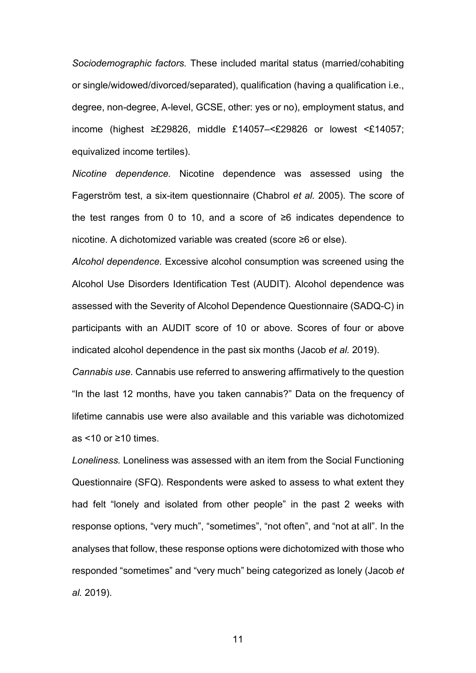*Sociodemographic factors.* These included marital status (married/cohabiting or single/widowed/divorced/separated), qualification (having a qualification i.e., degree, non-degree, A-level, GCSE, other: yes or no), employment status, and income (highest ≥£29826, middle £14057–<£29826 or lowest <£14057; equivalized income tertiles).

*Nicotine dependence.* Nicotine dependence was assessed using the Fagerström test, a six-item questionnaire (Chabrol *et al.* 2005). The score of the test ranges from 0 to 10, and a score of ≥6 indicates dependence to nicotine. A dichotomized variable was created (score ≥6 or else).

*Alcohol dependence.* Excessive alcohol consumption was screened using the Alcohol Use Disorders Identification Test (AUDIT). Alcohol dependence was assessed with the Severity of Alcohol Dependence Questionnaire (SADQ-C) in participants with an AUDIT score of 10 or above. Scores of four or above indicated alcohol dependence in the past six months (Jacob *et al.* 2019).

*Cannabis use.* Cannabis use referred to answering affirmatively to the question "In the last 12 months, have you taken cannabis?" Data on the frequency of lifetime cannabis use were also available and this variable was dichotomized as <10 or ≥10 times.

*Loneliness.* Loneliness was assessed with an item from the Social Functioning Questionnaire (SFQ). Respondents were asked to assess to what extent they had felt "lonely and isolated from other people" in the past 2 weeks with response options, "very much", "sometimes", "not often", and "not at all". In the analyses that follow, these response options were dichotomized with those who responded "sometimes" and "very much" being categorized as lonely (Jacob *et al.* 2019).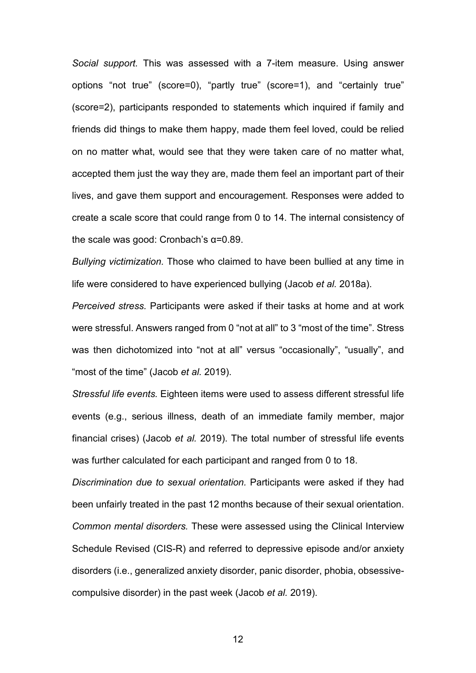*Social support.* This was assessed with a 7-item measure. Using answer options "not true" (score=0), "partly true" (score=1), and "certainly true" (score=2), participants responded to statements which inquired if family and friends did things to make them happy, made them feel loved, could be relied on no matter what, would see that they were taken care of no matter what, accepted them just the way they are, made them feel an important part of their lives, and gave them support and encouragement. Responses were added to create a scale score that could range from 0 to 14. The internal consistency of the scale was good: Cronbach's α=0.89.

*Bullying victimization.* Those who claimed to have been bullied at any time in life were considered to have experienced bullying (Jacob *et al.* 2018a).

*Perceived stress.* Participants were asked if their tasks at home and at work were stressful. Answers ranged from 0 "not at all" to 3 "most of the time". Stress was then dichotomized into "not at all" versus "occasionally", "usually", and "most of the time" (Jacob *et al.* 2019).

*Stressful life events.* Eighteen items were used to assess different stressful life events (e.g., serious illness, death of an immediate family member, major financial crises) (Jacob *et al.* 2019). The total number of stressful life events was further calculated for each participant and ranged from 0 to 18.

*Discrimination due to sexual orientation.* Participants were asked if they had been unfairly treated in the past 12 months because of their sexual orientation. *Common mental disorders.* These were assessed using the Clinical Interview Schedule Revised (CIS-R) and referred to depressive episode and/or anxiety disorders (i.e., generalized anxiety disorder, panic disorder, phobia, obsessivecompulsive disorder) in the past week (Jacob *et al.* 2019).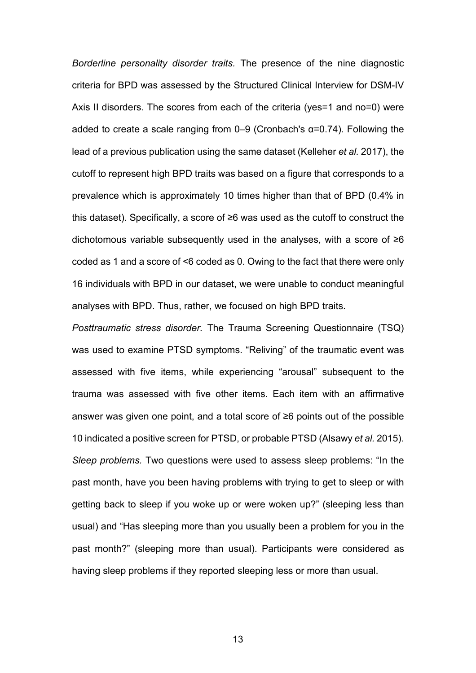*Borderline personality disorder traits.* The presence of the nine diagnostic criteria for BPD was assessed by the Structured Clinical Interview for DSM-IV Axis II disorders. The scores from each of the criteria (yes=1 and no=0) were added to create a scale ranging from  $0-9$  (Cronbach's  $\alpha$ =0.74). Following the lead of a previous publication using the same dataset (Kelleher *et al.* 2017), the cutoff to represent high BPD traits was based on a figure that corresponds to a prevalence which is approximately 10 times higher than that of BPD (0.4% in this dataset). Specifically, a score of ≥6 was used as the cutoff to construct the dichotomous variable subsequently used in the analyses, with a score of ≥6 coded as 1 and a score of <6 coded as 0. Owing to the fact that there were only 16 individuals with BPD in our dataset, we were unable to conduct meaningful analyses with BPD. Thus, rather, we focused on high BPD traits.

*Posttraumatic stress disorder.* The Trauma Screening Questionnaire (TSQ) was used to examine PTSD symptoms. "Reliving" of the traumatic event was assessed with five items, while experiencing "arousal" subsequent to the trauma was assessed with five other items. Each item with an affirmative answer was given one point, and a total score of ≥6 points out of the possible 10 indicated a positive screen for PTSD, or probable PTSD (Alsawy *et al.* 2015). *Sleep problems.* Two questions were used to assess sleep problems: "In the past month, have you been having problems with trying to get to sleep or with getting back to sleep if you woke up or were woken up?" (sleeping less than usual) and "Has sleeping more than you usually been a problem for you in the past month?" (sleeping more than usual). Participants were considered as having sleep problems if they reported sleeping less or more than usual.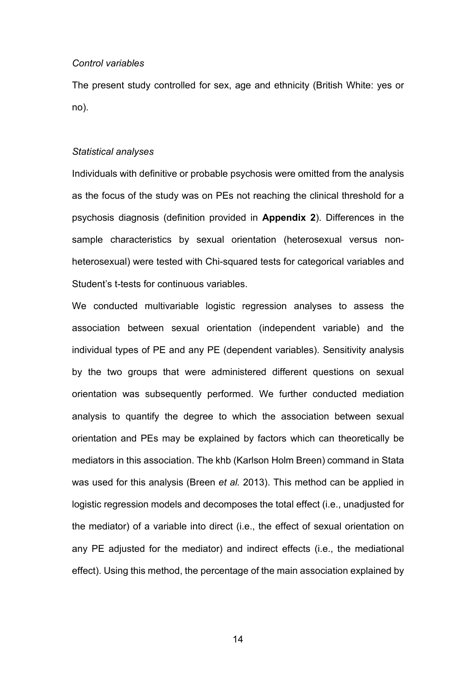#### *Control variables*

The present study controlled for sex, age and ethnicity (British White: yes or no).

#### *Statistical analyses*

Individuals with definitive or probable psychosis were omitted from the analysis as the focus of the study was on PEs not reaching the clinical threshold for a psychosis diagnosis (definition provided in **Appendix 2**). Differences in the sample characteristics by sexual orientation (heterosexual versus nonheterosexual) were tested with Chi-squared tests for categorical variables and Student's t-tests for continuous variables.

We conducted multivariable logistic regression analyses to assess the association between sexual orientation (independent variable) and the individual types of PE and any PE (dependent variables). Sensitivity analysis by the two groups that were administered different questions on sexual orientation was subsequently performed. We further conducted mediation analysis to quantify the degree to which the association between sexual orientation and PEs may be explained by factors which can theoretically be mediators in this association. The khb (Karlson Holm Breen) command in Stata was used for this analysis (Breen *et al.* 2013). This method can be applied in logistic regression models and decomposes the total effect (i.e., unadjusted for the mediator) of a variable into direct (i.e., the effect of sexual orientation on any PE adjusted for the mediator) and indirect effects (i.e., the mediational effect). Using this method, the percentage of the main association explained by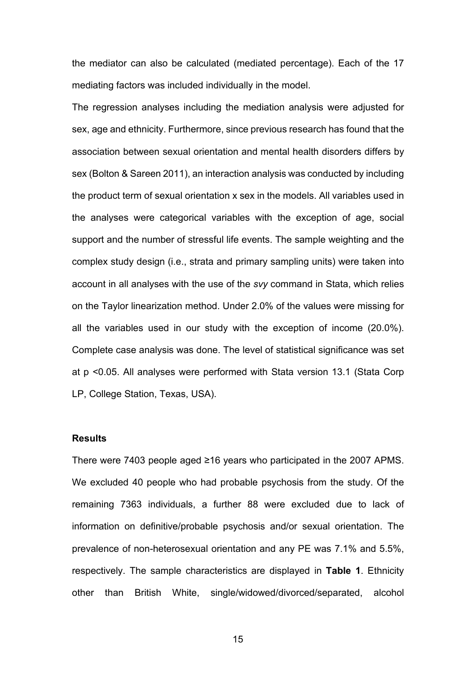the mediator can also be calculated (mediated percentage). Each of the 17 mediating factors was included individually in the model.

The regression analyses including the mediation analysis were adjusted for sex, age and ethnicity. Furthermore, since previous research has found that the association between sexual orientation and mental health disorders differs by sex (Bolton & Sareen 2011), an interaction analysis was conducted by including the product term of sexual orientation x sex in the models. All variables used in the analyses were categorical variables with the exception of age, social support and the number of stressful life events. The sample weighting and the complex study design (i.e., strata and primary sampling units) were taken into account in all analyses with the use of the *svy* command in Stata, which relies on the Taylor linearization method. Under 2.0% of the values were missing for all the variables used in our study with the exception of income (20.0%). Complete case analysis was done. The level of statistical significance was set at p <0.05. All analyses were performed with Stata version 13.1 (Stata Corp LP, College Station, Texas, USA).

## **Results**

There were 7403 people aged ≥16 years who participated in the 2007 APMS. We excluded 40 people who had probable psychosis from the study. Of the remaining 7363 individuals, a further 88 were excluded due to lack of information on definitive/probable psychosis and/or sexual orientation. The prevalence of non-heterosexual orientation and any PE was 7.1% and 5.5%, respectively. The sample characteristics are displayed in **Table 1**. Ethnicity other than British White, single/widowed/divorced/separated, alcohol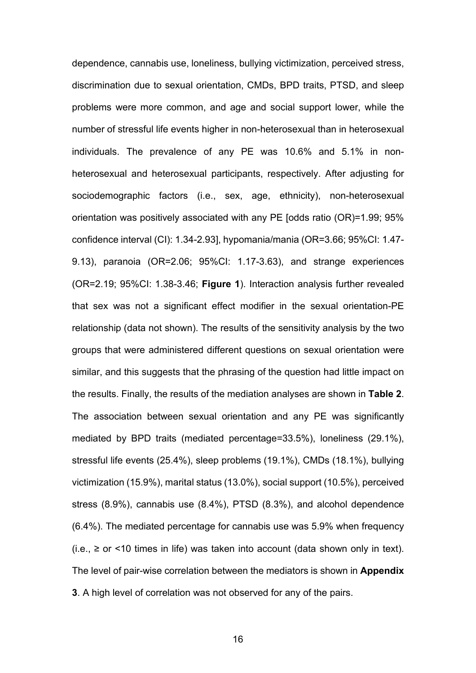dependence, cannabis use, loneliness, bullying victimization, perceived stress, discrimination due to sexual orientation, CMDs, BPD traits, PTSD, and sleep problems were more common, and age and social support lower, while the number of stressful life events higher in non-heterosexual than in heterosexual individuals. The prevalence of any PE was 10.6% and 5.1% in nonheterosexual and heterosexual participants, respectively. After adjusting for sociodemographic factors (i.e., sex, age, ethnicity), non-heterosexual orientation was positively associated with any PE [odds ratio (OR)=1.99; 95% confidence interval (CI): 1.34-2.93], hypomania/mania (OR=3.66; 95%CI: 1.47- 9.13), paranoia (OR=2.06; 95%CI: 1.17-3.63), and strange experiences (OR=2.19; 95%CI: 1.38-3.46; **Figure 1**). Interaction analysis further revealed that sex was not a significant effect modifier in the sexual orientation-PE relationship (data not shown). The results of the sensitivity analysis by the two groups that were administered different questions on sexual orientation were similar, and this suggests that the phrasing of the question had little impact on the results. Finally, the results of the mediation analyses are shown in **Table 2**. The association between sexual orientation and any PE was significantly mediated by BPD traits (mediated percentage=33.5%), loneliness (29.1%), stressful life events (25.4%), sleep problems (19.1%), CMDs (18.1%), bullying victimization (15.9%), marital status (13.0%), social support (10.5%), perceived stress (8.9%), cannabis use (8.4%), PTSD (8.3%), and alcohol dependence (6.4%). The mediated percentage for cannabis use was 5.9% when frequency (i.e.,  $≥$  or <10 times in life) was taken into account (data shown only in text). The level of pair-wise correlation between the mediators is shown in **Appendix 3**. A high level of correlation was not observed for any of the pairs.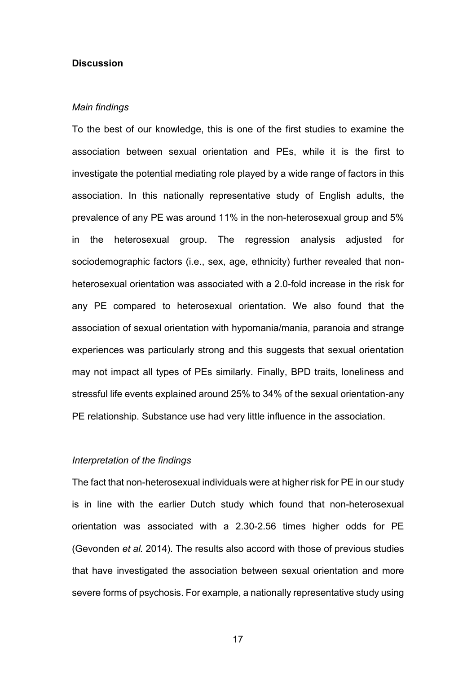#### **Discussion**

#### *Main findings*

To the best of our knowledge, this is one of the first studies to examine the association between sexual orientation and PEs, while it is the first to investigate the potential mediating role played by a wide range of factors in this association. In this nationally representative study of English adults, the prevalence of any PE was around 11% in the non-heterosexual group and 5% in the heterosexual group. The regression analysis adjusted for sociodemographic factors (i.e., sex, age, ethnicity) further revealed that nonheterosexual orientation was associated with a 2.0-fold increase in the risk for any PE compared to heterosexual orientation. We also found that the association of sexual orientation with hypomania/mania, paranoia and strange experiences was particularly strong and this suggests that sexual orientation may not impact all types of PEs similarly. Finally, BPD traits, loneliness and stressful life events explained around 25% to 34% of the sexual orientation-any PE relationship. Substance use had very little influence in the association.

## *Interpretation of the findings*

The fact that non-heterosexual individuals were at higher risk for PE in our study is in line with the earlier Dutch study which found that non-heterosexual orientation was associated with a 2.30-2.56 times higher odds for PE (Gevonden *et al.* 2014). The results also accord with those of previous studies that have investigated the association between sexual orientation and more severe forms of psychosis. For example, a nationally representative study using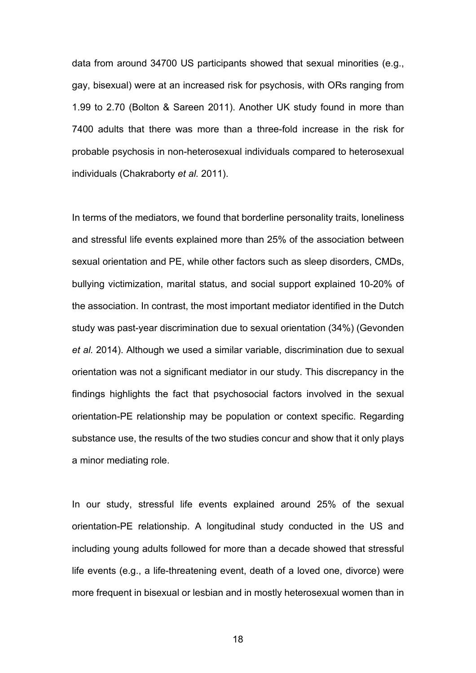data from around 34700 US participants showed that sexual minorities (e.g., gay, bisexual) were at an increased risk for psychosis, with ORs ranging from 1.99 to 2.70 (Bolton & Sareen 2011). Another UK study found in more than 7400 adults that there was more than a three-fold increase in the risk for probable psychosis in non-heterosexual individuals compared to heterosexual individuals (Chakraborty *et al.* 2011).

In terms of the mediators, we found that borderline personality traits, loneliness and stressful life events explained more than 25% of the association between sexual orientation and PE, while other factors such as sleep disorders, CMDs, bullying victimization, marital status, and social support explained 10-20% of the association. In contrast, the most important mediator identified in the Dutch study was past-year discrimination due to sexual orientation (34%) (Gevonden *et al.* 2014). Although we used a similar variable, discrimination due to sexual orientation was not a significant mediator in our study. This discrepancy in the findings highlights the fact that psychosocial factors involved in the sexual orientation-PE relationship may be population or context specific. Regarding substance use, the results of the two studies concur and show that it only plays a minor mediating role.

In our study, stressful life events explained around 25% of the sexual orientation-PE relationship. A longitudinal study conducted in the US and including young adults followed for more than a decade showed that stressful life events (e.g., a life-threatening event, death of a loved one, divorce) were more frequent in bisexual or lesbian and in mostly heterosexual women than in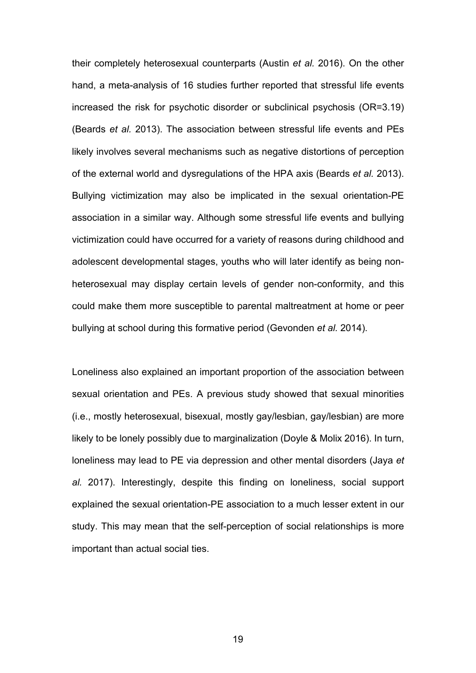their completely heterosexual counterparts (Austin *et al.* 2016). On the other hand, a meta-analysis of 16 studies further reported that stressful life events increased the risk for psychotic disorder or subclinical psychosis (OR=3.19) (Beards *et al.* 2013). The association between stressful life events and PEs likely involves several mechanisms such as negative distortions of perception of the external world and dysregulations of the HPA axis (Beards *et al.* 2013). Bullying victimization may also be implicated in the sexual orientation-PE association in a similar way. Although some stressful life events and bullying victimization could have occurred for a variety of reasons during childhood and adolescent developmental stages, youths who will later identify as being nonheterosexual may display certain levels of gender non-conformity, and this could make them more susceptible to parental maltreatment at home or peer bullying at school during this formative period (Gevonden *et al.* 2014).

Loneliness also explained an important proportion of the association between sexual orientation and PEs. A previous study showed that sexual minorities (i.e., mostly heterosexual, bisexual, mostly gay/lesbian, gay/lesbian) are more likely to be lonely possibly due to marginalization (Doyle & Molix 2016). In turn, loneliness may lead to PE via depression and other mental disorders (Jaya *et al.* 2017). Interestingly, despite this finding on loneliness, social support explained the sexual orientation-PE association to a much lesser extent in our study. This may mean that the self-perception of social relationships is more important than actual social ties.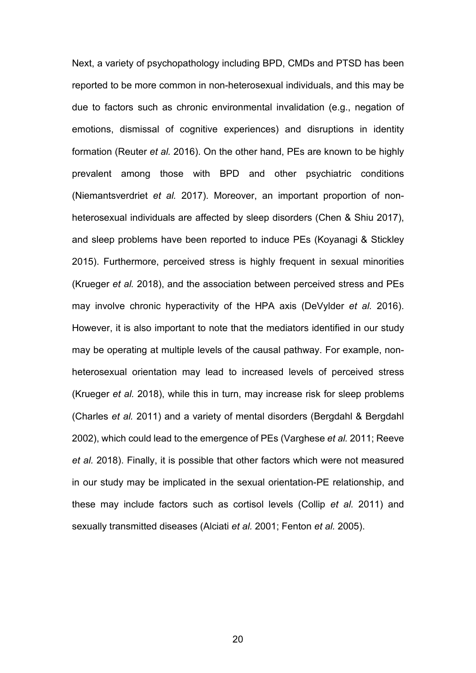Next, a variety of psychopathology including BPD, CMDs and PTSD has been reported to be more common in non-heterosexual individuals, and this may be due to factors such as chronic environmental invalidation (e.g., negation of emotions, dismissal of cognitive experiences) and disruptions in identity formation (Reuter *et al.* 2016). On the other hand, PEs are known to be highly prevalent among those with BPD and other psychiatric conditions (Niemantsverdriet *et al.* 2017). Moreover, an important proportion of nonheterosexual individuals are affected by sleep disorders (Chen & Shiu 2017), and sleep problems have been reported to induce PEs (Koyanagi & Stickley 2015). Furthermore, perceived stress is highly frequent in sexual minorities (Krueger *et al.* 2018), and the association between perceived stress and PEs may involve chronic hyperactivity of the HPA axis (DeVylder *et al.* 2016). However, it is also important to note that the mediators identified in our study may be operating at multiple levels of the causal pathway. For example, nonheterosexual orientation may lead to increased levels of perceived stress (Krueger *et al.* 2018), while this in turn, may increase risk for sleep problems (Charles *et al.* 2011) and a variety of mental disorders (Bergdahl & Bergdahl 2002), which could lead to the emergence of PEs (Varghese *et al.* 2011; Reeve *et al.* 2018). Finally, it is possible that other factors which were not measured in our study may be implicated in the sexual orientation-PE relationship, and these may include factors such as cortisol levels (Collip *et al.* 2011) and sexually transmitted diseases (Alciati *et al.* 2001; Fenton *et al.* 2005).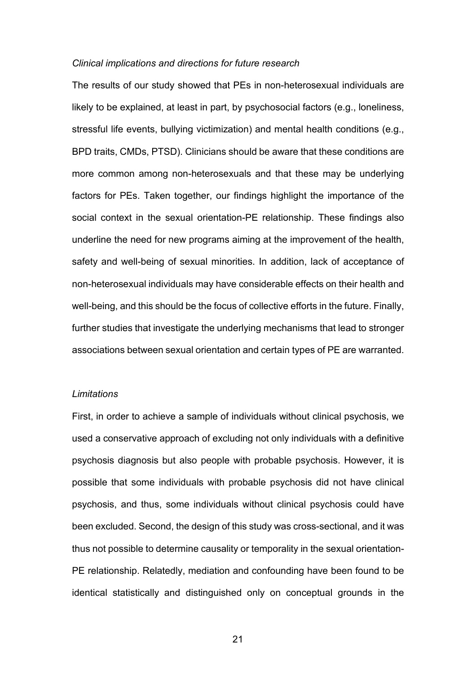#### *Clinical implications and directions for future research*

The results of our study showed that PEs in non-heterosexual individuals are likely to be explained, at least in part, by psychosocial factors (e.g., loneliness, stressful life events, bullying victimization) and mental health conditions (e.g., BPD traits, CMDs, PTSD). Clinicians should be aware that these conditions are more common among non-heterosexuals and that these may be underlying factors for PEs. Taken together, our findings highlight the importance of the social context in the sexual orientation-PE relationship. These findings also underline the need for new programs aiming at the improvement of the health, safety and well-being of sexual minorities. In addition, lack of acceptance of non-heterosexual individuals may have considerable effects on their health and well-being, and this should be the focus of collective efforts in the future. Finally, further studies that investigate the underlying mechanisms that lead to stronger associations between sexual orientation and certain types of PE are warranted.

#### *Limitations*

First, in order to achieve a sample of individuals without clinical psychosis, we used a conservative approach of excluding not only individuals with a definitive psychosis diagnosis but also people with probable psychosis. However, it is possible that some individuals with probable psychosis did not have clinical psychosis, and thus, some individuals without clinical psychosis could have been excluded. Second, the design of this study was cross-sectional, and it was thus not possible to determine causality or temporality in the sexual orientation-PE relationship. Relatedly, mediation and confounding have been found to be identical statistically and distinguished only on conceptual grounds in the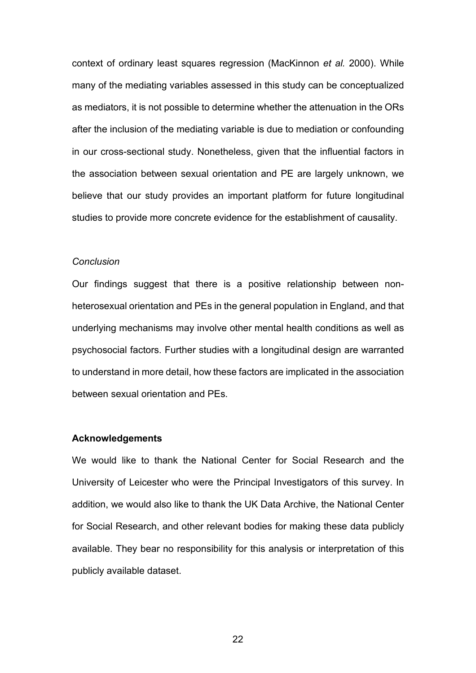context of ordinary least squares regression (MacKinnon *et al.* 2000). While many of the mediating variables assessed in this study can be conceptualized as mediators, it is not possible to determine whether the attenuation in the ORs after the inclusion of the mediating variable is due to mediation or confounding in our cross-sectional study. Nonetheless, given that the influential factors in the association between sexual orientation and PE are largely unknown, we believe that our study provides an important platform for future longitudinal studies to provide more concrete evidence for the establishment of causality.

#### *Conclusion*

Our findings suggest that there is a positive relationship between nonheterosexual orientation and PEs in the general population in England, and that underlying mechanisms may involve other mental health conditions as well as psychosocial factors. Further studies with a longitudinal design are warranted to understand in more detail, how these factors are implicated in the association between sexual orientation and PEs.

#### **Acknowledgements**

We would like to thank the National Center for Social Research and the University of Leicester who were the Principal Investigators of this survey. In addition, we would also like to thank the UK Data Archive, the National Center for Social Research, and other relevant bodies for making these data publicly available. They bear no responsibility for this analysis or interpretation of this publicly available dataset.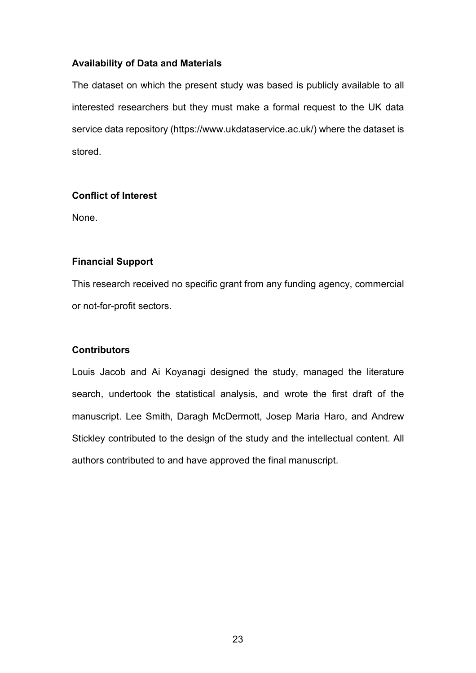# **Availability of Data and Materials**

The dataset on which the present study was based is publicly available to all interested researchers but they must make a formal request to the UK data service data repository (https://www.ukdataservice.ac.uk/) where the dataset is stored.

# **Conflict of Interest**

None.

# **Financial Support**

This research received no specific grant from any funding agency, commercial or not-for-profit sectors.

# **Contributors**

Louis Jacob and Ai Koyanagi designed the study, managed the literature search, undertook the statistical analysis, and wrote the first draft of the manuscript. Lee Smith, Daragh McDermott, Josep Maria Haro, and Andrew Stickley contributed to the design of the study and the intellectual content. All authors contributed to and have approved the final manuscript.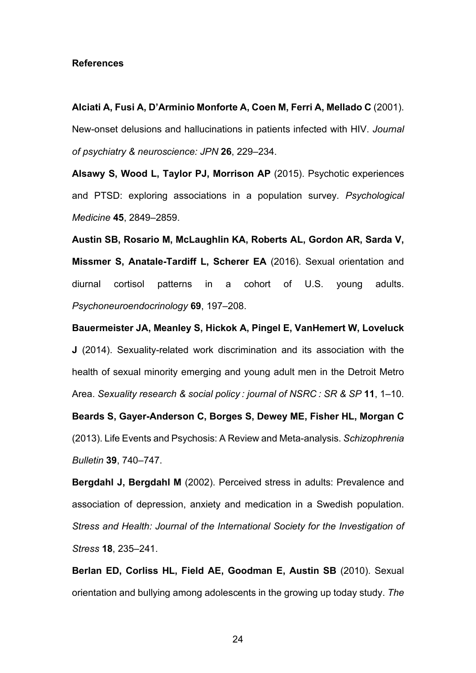#### **References**

**Alciati A, Fusi A, D'Arminio Monforte A, Coen M, Ferri A, Mellado C** (2001). New-onset delusions and hallucinations in patients infected with HIV. *Journal of psychiatry & neuroscience: JPN* **26**, 229–234.

**Alsawy S, Wood L, Taylor PJ, Morrison AP** (2015). Psychotic experiences and PTSD: exploring associations in a population survey. *Psychological Medicine* **45**, 2849–2859.

**Austin SB, Rosario M, McLaughlin KA, Roberts AL, Gordon AR, Sarda V, Missmer S, Anatale-Tardiff L, Scherer EA** (2016). Sexual orientation and diurnal cortisol patterns in a cohort of U.S. young adults. *Psychoneuroendocrinology* **69**, 197–208.

**Bauermeister JA, Meanley S, Hickok A, Pingel E, VanHemert W, Loveluck J** (2014). Sexuality-related work discrimination and its association with the health of sexual minority emerging and young adult men in the Detroit Metro Area. *Sexuality research & social policy : journal of NSRC : SR & SP* **11**, 1–10.

**Beards S, Gayer-Anderson C, Borges S, Dewey ME, Fisher HL, Morgan C** (2013). Life Events and Psychosis: A Review and Meta-analysis. *Schizophrenia Bulletin* **39**, 740–747.

**Bergdahl J, Bergdahl M** (2002). Perceived stress in adults: Prevalence and association of depression, anxiety and medication in a Swedish population. *Stress and Health: Journal of the International Society for the Investigation of Stress* **18**, 235–241.

**Berlan ED, Corliss HL, Field AE, Goodman E, Austin SB** (2010). Sexual orientation and bullying among adolescents in the growing up today study. *The*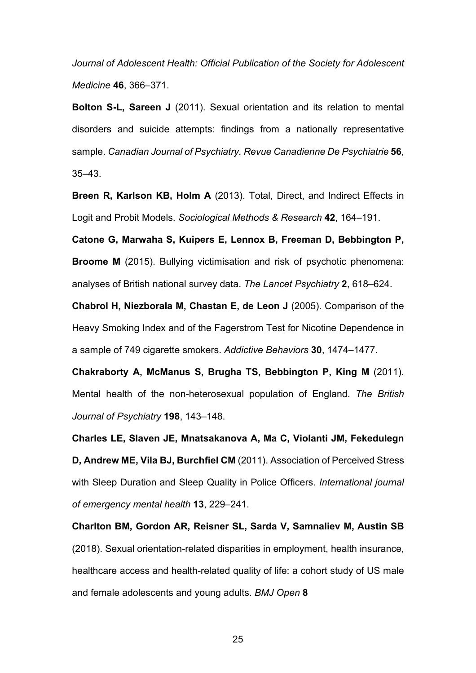*Journal of Adolescent Health: Official Publication of the Society for Adolescent Medicine* **46**, 366–371.

**Bolton S-L, Sareen J** (2011). Sexual orientation and its relation to mental disorders and suicide attempts: findings from a nationally representative sample. *Canadian Journal of Psychiatry. Revue Canadienne De Psychiatrie* **56**, 35–43.

**Breen R, Karlson KB, Holm A** (2013). Total, Direct, and Indirect Effects in Logit and Probit Models. *Sociological Methods & Research* **42**, 164–191.

**Catone G, Marwaha S, Kuipers E, Lennox B, Freeman D, Bebbington P, Broome M** (2015). Bullying victimisation and risk of psychotic phenomena: analyses of British national survey data. *The Lancet Psychiatry* **2**, 618–624.

**Chabrol H, Niezborala M, Chastan E, de Leon J** (2005). Comparison of the Heavy Smoking Index and of the Fagerstrom Test for Nicotine Dependence in a sample of 749 cigarette smokers. *Addictive Behaviors* **30**, 1474–1477.

**Chakraborty A, McManus S, Brugha TS, Bebbington P, King M** (2011). Mental health of the non-heterosexual population of England. *The British Journal of Psychiatry* **198**, 143–148.

**Charles LE, Slaven JE, Mnatsakanova A, Ma C, Violanti JM, Fekedulegn D, Andrew ME, Vila BJ, Burchfiel CM** (2011). Association of Perceived Stress with Sleep Duration and Sleep Quality in Police Officers. *International journal of emergency mental health* **13**, 229–241.

**Charlton BM, Gordon AR, Reisner SL, Sarda V, Samnaliev M, Austin SB** (2018). Sexual orientation-related disparities in employment, health insurance, healthcare access and health-related quality of life: a cohort study of US male and female adolescents and young adults. *BMJ Open* **8**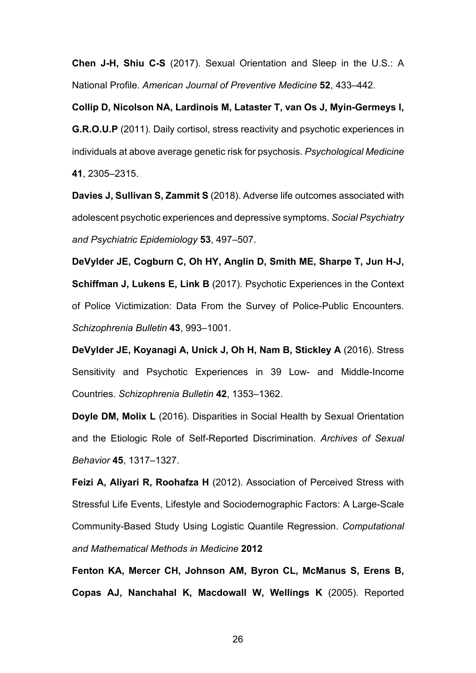**Chen J-H, Shiu C-S** (2017). Sexual Orientation and Sleep in the U.S.: A National Profile. *American Journal of Preventive Medicine* **52**, 433–442.

**Collip D, Nicolson NA, Lardinois M, Lataster T, van Os J, Myin-Germeys I, G.R.O.U.P** (2011). Daily cortisol, stress reactivity and psychotic experiences in individuals at above average genetic risk for psychosis. *Psychological Medicine* **41**, 2305–2315.

**Davies J, Sullivan S, Zammit S** (2018). Adverse life outcomes associated with adolescent psychotic experiences and depressive symptoms. *Social Psychiatry and Psychiatric Epidemiology* **53**, 497–507.

**DeVylder JE, Cogburn C, Oh HY, Anglin D, Smith ME, Sharpe T, Jun H-J, Schiffman J, Lukens E, Link B** (2017). Psychotic Experiences in the Context of Police Victimization: Data From the Survey of Police-Public Encounters. *Schizophrenia Bulletin* **43**, 993–1001.

**DeVylder JE, Koyanagi A, Unick J, Oh H, Nam B, Stickley A** (2016). Stress Sensitivity and Psychotic Experiences in 39 Low- and Middle-Income Countries. *Schizophrenia Bulletin* **42**, 1353–1362.

**Doyle DM, Molix L** (2016). Disparities in Social Health by Sexual Orientation and the Etiologic Role of Self-Reported Discrimination. *Archives of Sexual Behavior* **45**, 1317–1327.

**Feizi A, Aliyari R, Roohafza H** (2012). Association of Perceived Stress with Stressful Life Events, Lifestyle and Sociodemographic Factors: A Large-Scale Community-Based Study Using Logistic Quantile Regression. *Computational and Mathematical Methods in Medicine* **2012**

**Fenton KA, Mercer CH, Johnson AM, Byron CL, McManus S, Erens B, Copas AJ, Nanchahal K, Macdowall W, Wellings K** (2005). Reported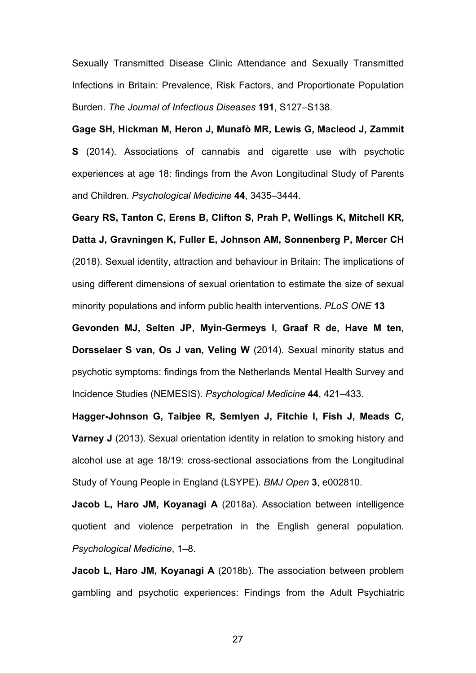Sexually Transmitted Disease Clinic Attendance and Sexually Transmitted Infections in Britain: Prevalence, Risk Factors, and Proportionate Population Burden. *The Journal of Infectious Diseases* **191**, S127–S138.

**Gage SH, Hickman M, Heron J, Munafò MR, Lewis G, Macleod J, Zammit S** (2014). Associations of cannabis and cigarette use with psychotic experiences at age 18: findings from the Avon Longitudinal Study of Parents and Children. *Psychological Medicine* **44**, 3435–3444.

**Geary RS, Tanton C, Erens B, Clifton S, Prah P, Wellings K, Mitchell KR, Datta J, Gravningen K, Fuller E, Johnson AM, Sonnenberg P, Mercer CH** (2018). Sexual identity, attraction and behaviour in Britain: The implications of using different dimensions of sexual orientation to estimate the size of sexual minority populations and inform public health interventions. *PLoS ONE* **13**

**Gevonden MJ, Selten JP, Myin-Germeys I, Graaf R de, Have M ten, Dorsselaer S van, Os J van, Veling W** (2014). Sexual minority status and psychotic symptoms: findings from the Netherlands Mental Health Survey and Incidence Studies (NEMESIS). *Psychological Medicine* **44**, 421–433.

**Hagger-Johnson G, Taibjee R, Semlyen J, Fitchie I, Fish J, Meads C, Varney J** (2013). Sexual orientation identity in relation to smoking history and alcohol use at age 18/19: cross-sectional associations from the Longitudinal Study of Young People in England (LSYPE). *BMJ Open* **3**, e002810.

**Jacob L, Haro JM, Koyanagi A** (2018a). Association between intelligence quotient and violence perpetration in the English general population. *Psychological Medicine*, 1–8.

**Jacob L, Haro JM, Koyanagi A** (2018b). The association between problem gambling and psychotic experiences: Findings from the Adult Psychiatric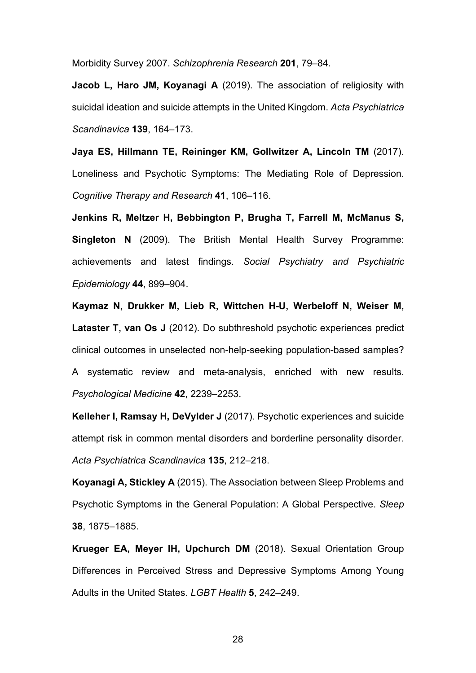Morbidity Survey 2007. *Schizophrenia Research* **201**, 79–84.

**Jacob L, Haro JM, Koyanagi A** (2019). The association of religiosity with suicidal ideation and suicide attempts in the United Kingdom. *Acta Psychiatrica Scandinavica* **139**, 164–173.

**Jaya ES, Hillmann TE, Reininger KM, Gollwitzer A, Lincoln TM** (2017). Loneliness and Psychotic Symptoms: The Mediating Role of Depression. *Cognitive Therapy and Research* **41**, 106–116.

**Jenkins R, Meltzer H, Bebbington P, Brugha T, Farrell M, McManus S, Singleton N** (2009). The British Mental Health Survey Programme: achievements and latest findings. *Social Psychiatry and Psychiatric Epidemiology* **44**, 899–904.

**Kaymaz N, Drukker M, Lieb R, Wittchen H-U, Werbeloff N, Weiser M, Lataster T, van Os J** (2012). Do subthreshold psychotic experiences predict clinical outcomes in unselected non-help-seeking population-based samples? A systematic review and meta-analysis, enriched with new results. *Psychological Medicine* **42**, 2239–2253.

**Kelleher I, Ramsay H, DeVylder J** (2017). Psychotic experiences and suicide attempt risk in common mental disorders and borderline personality disorder. *Acta Psychiatrica Scandinavica* **135**, 212–218.

**Koyanagi A, Stickley A** (2015). The Association between Sleep Problems and Psychotic Symptoms in the General Population: A Global Perspective. *Sleep* **38**, 1875–1885.

**Krueger EA, Meyer IH, Upchurch DM** (2018). Sexual Orientation Group Differences in Perceived Stress and Depressive Symptoms Among Young Adults in the United States. *LGBT Health* **5**, 242–249.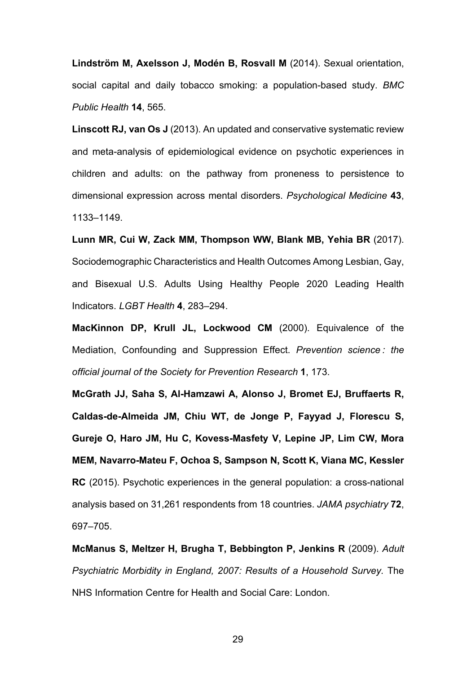**Lindström M, Axelsson J, Modén B, Rosvall M** (2014). Sexual orientation, social capital and daily tobacco smoking: a population-based study. *BMC Public Health* **14**, 565.

**Linscott RJ, van Os J** (2013). An updated and conservative systematic review and meta-analysis of epidemiological evidence on psychotic experiences in children and adults: on the pathway from proneness to persistence to dimensional expression across mental disorders. *Psychological Medicine* **43**, 1133–1149.

**Lunn MR, Cui W, Zack MM, Thompson WW, Blank MB, Yehia BR** (2017). Sociodemographic Characteristics and Health Outcomes Among Lesbian, Gay, and Bisexual U.S. Adults Using Healthy People 2020 Leading Health Indicators. *LGBT Health* **4**, 283–294.

**MacKinnon DP, Krull JL, Lockwood CM** (2000). Equivalence of the Mediation, Confounding and Suppression Effect. *Prevention science : the official journal of the Society for Prevention Research* **1**, 173.

**McGrath JJ, Saha S, Al-Hamzawi A, Alonso J, Bromet EJ, Bruffaerts R, Caldas-de-Almeida JM, Chiu WT, de Jonge P, Fayyad J, Florescu S, Gureje O, Haro JM, Hu C, Kovess-Masfety V, Lepine JP, Lim CW, Mora MEM, Navarro-Mateu F, Ochoa S, Sampson N, Scott K, Viana MC, Kessler RC** (2015). Psychotic experiences in the general population: a cross-national analysis based on 31,261 respondents from 18 countries. *JAMA psychiatry* **72**, 697–705.

**McManus S, Meltzer H, Brugha T, Bebbington P, Jenkins R** (2009). *Adult Psychiatric Morbidity in England, 2007: Results of a Household Survey.* The NHS Information Centre for Health and Social Care: London.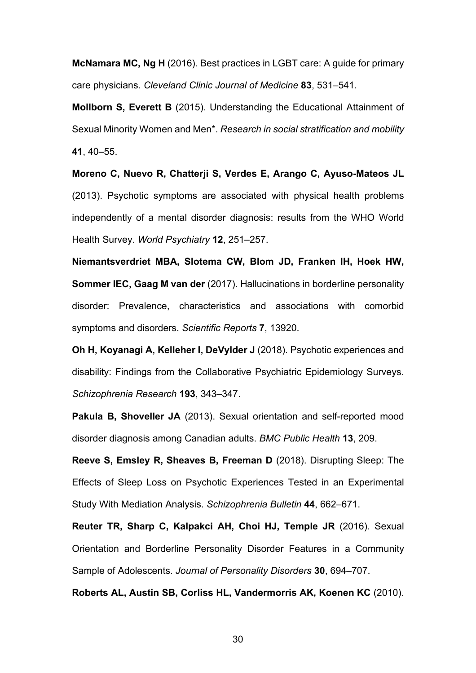**McNamara MC, Ng H** (2016). Best practices in LGBT care: A guide for primary care physicians. *Cleveland Clinic Journal of Medicine* **83**, 531–541.

**Mollborn S, Everett B** (2015). Understanding the Educational Attainment of Sexual Minority Women and Men\*. *Research in social stratification and mobility* **41**, 40–55.

**Moreno C, Nuevo R, Chatterji S, Verdes E, Arango C, Ayuso-Mateos JL** (2013). Psychotic symptoms are associated with physical health problems independently of a mental disorder diagnosis: results from the WHO World Health Survey. *World Psychiatry* **12**, 251–257.

**Niemantsverdriet MBA, Slotema CW, Blom JD, Franken IH, Hoek HW, Sommer IEC, Gaag M van der** (2017). Hallucinations in borderline personality disorder: Prevalence, characteristics and associations with comorbid symptoms and disorders. *Scientific Reports* **7**, 13920.

**Oh H, Koyanagi A, Kelleher I, DeVylder J** (2018). Psychotic experiences and disability: Findings from the Collaborative Psychiatric Epidemiology Surveys. *Schizophrenia Research* **193**, 343–347.

**Pakula B, Shoveller JA** (2013). Sexual orientation and self-reported mood disorder diagnosis among Canadian adults. *BMC Public Health* **13**, 209.

**Reeve S, Emsley R, Sheaves B, Freeman D** (2018). Disrupting Sleep: The Effects of Sleep Loss on Psychotic Experiences Tested in an Experimental Study With Mediation Analysis. *Schizophrenia Bulletin* **44**, 662–671.

**Reuter TR, Sharp C, Kalpakci AH, Choi HJ, Temple JR** (2016). Sexual Orientation and Borderline Personality Disorder Features in a Community Sample of Adolescents. *Journal of Personality Disorders* **30**, 694–707.

**Roberts AL, Austin SB, Corliss HL, Vandermorris AK, Koenen KC** (2010).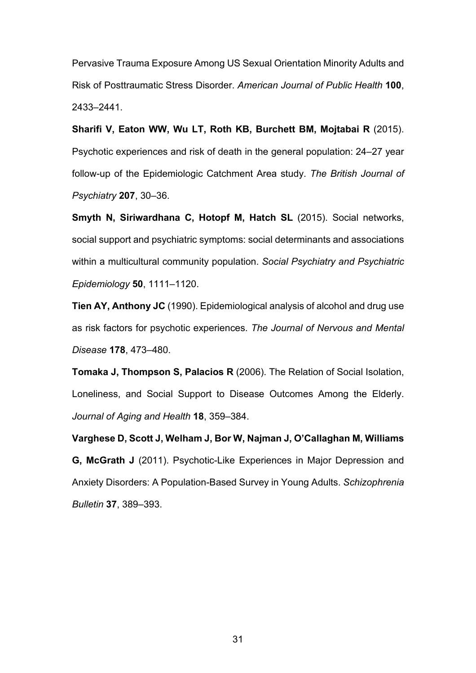Pervasive Trauma Exposure Among US Sexual Orientation Minority Adults and Risk of Posttraumatic Stress Disorder. *American Journal of Public Health* **100**, 2433–2441.

**Sharifi V, Eaton WW, Wu LT, Roth KB, Burchett BM, Mojtabai R** (2015). Psychotic experiences and risk of death in the general population: 24–27 year follow-up of the Epidemiologic Catchment Area study. *The British Journal of Psychiatry* **207**, 30–36.

**Smyth N, Siriwardhana C, Hotopf M, Hatch SL** (2015). Social networks, social support and psychiatric symptoms: social determinants and associations within a multicultural community population. *Social Psychiatry and Psychiatric Epidemiology* **50**, 1111–1120.

**Tien AY, Anthony JC** (1990). Epidemiological analysis of alcohol and drug use as risk factors for psychotic experiences. *The Journal of Nervous and Mental Disease* **178**, 473–480.

**Tomaka J, Thompson S, Palacios R** (2006). The Relation of Social Isolation, Loneliness, and Social Support to Disease Outcomes Among the Elderly. *Journal of Aging and Health* **18**, 359–384.

**Varghese D, Scott J, Welham J, Bor W, Najman J, O'Callaghan M, Williams G, McGrath J** (2011). Psychotic-Like Experiences in Major Depression and Anxiety Disorders: A Population-Based Survey in Young Adults. *Schizophrenia Bulletin* **37**, 389–393.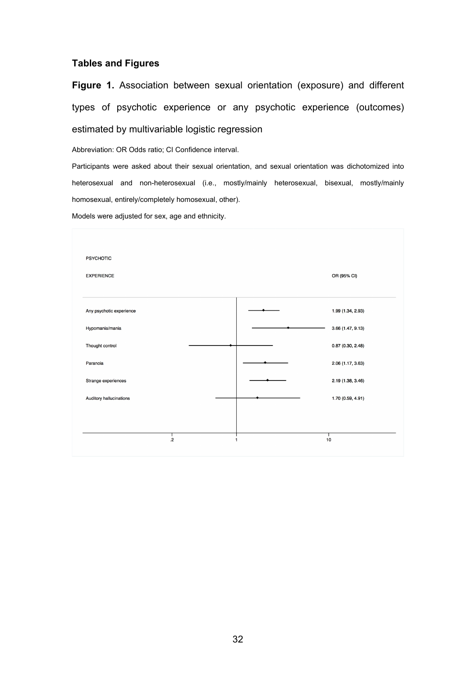## **Tables and Figures**

**Figure 1.** Association between sexual orientation (exposure) and different types of psychotic experience or any psychotic experience (outcomes) estimated by multivariable logistic regression

Abbreviation: OR Odds ratio; CI Confidence interval.

Participants were asked about their sexual orientation, and sexual orientation was dichotomized into heterosexual and non-heterosexual (i.e., mostly/mainly heterosexual, bisexual, mostly/mainly homosexual, entirely/completely homosexual, other).

Models were adjusted for sex, age and ethnicity.

| <b>PSYCHOTIC</b>         |   |                   |
|--------------------------|---|-------------------|
| <b>EXPERIENCE</b>        |   | OR (95% CI)       |
| Any psychotic experience |   | 1.99 (1.34, 2.93) |
| Hypomania/mania          |   | 3.66 (1.47, 9.13) |
| Thought control          |   | 0.87(0.30, 2.48)  |
| Paranoia                 |   | 2.06 (1.17, 3.63) |
| Strange experiences      |   | 2.19 (1.38, 3.46) |
| Auditory hallucinations  |   | 1.70 (0.59, 4.91) |
|                          |   |                   |
|                          |   |                   |
| $\mathbf{.2}$            | 1 | 10                |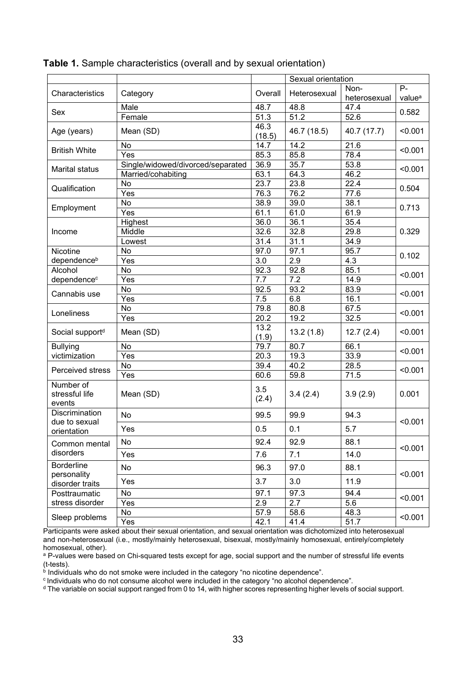|                                                     |                                   |                | Sexual orientation |                      |                             |  |
|-----------------------------------------------------|-----------------------------------|----------------|--------------------|----------------------|-----------------------------|--|
| Characteristics                                     | Category                          | Overall        | Heterosexual       | Non-<br>heterosexual | $P -$<br>value <sup>a</sup> |  |
|                                                     | Male                              | 48.7           | 48.8               | 47.4                 | 0.582                       |  |
| Sex                                                 | Female                            | 51.3           | 51.2               | 52.6                 |                             |  |
| Age (years)                                         | Mean (SD)                         | 46.3<br>(18.5) | 46.7 (18.5)        | 40.7 (17.7)          | < 0.001                     |  |
|                                                     | No                                | 14.7           | 14.2               | 21.6                 | < 0.001                     |  |
| <b>British White</b>                                | Yes                               | 85.3           | 85.8               | 78.4                 |                             |  |
| Marital status                                      | Single/widowed/divorced/separated | 36.9           | 35.7               | 53.8                 | < 0.001                     |  |
|                                                     | Married/cohabiting                | 63.1           | 64.3               | 46.2                 |                             |  |
| Qualification                                       | No                                | 23.7           | 23.8               | 22.4                 | 0.504                       |  |
|                                                     | Yes                               | 76.3           | 76.2               | 77.6                 |                             |  |
|                                                     | No                                | 38.9           | 39.0               | 38.1                 | 0.713                       |  |
| Employment                                          | Yes                               | 61.1           | 61.0               | 61.9                 |                             |  |
|                                                     | Highest                           | 36.0           | 36.1               | 35.4                 | 0.329                       |  |
| Income                                              | Middle                            | 32.6           | 32.8               | 29.8                 |                             |  |
|                                                     | Lowest                            | 31.4           | 31.1               | 34.9                 |                             |  |
| Nicotine                                            | No                                | 97.0           | 97.1               | 95.7                 | 0.102                       |  |
| dependence <sup>b</sup>                             | Yes                               | 3.0            | 2.9                | 4.3                  |                             |  |
| Alcohol                                             | No                                | 92.3           | 92.8               | 85.1                 | < 0.001                     |  |
| dependence <sup>c</sup>                             | Yes                               | 7.7            | 7.2                | 14.9                 |                             |  |
| Cannabis use                                        | No                                | 92.5           | 93.2               | 83.9                 | < 0.001                     |  |
|                                                     | Yes                               | 7.5            | 6.8                | 16.1                 |                             |  |
| Loneliness                                          | No                                | 79.8           | 80.8               | 67.5                 | < 0.001                     |  |
|                                                     | Yes                               | 20.2           | 19.2               | 32.5                 |                             |  |
| Social support <sup>d</sup>                         | Mean (SD)                         | 13.2<br>(1.9)  | 13.2(1.8)          | 12.7(2.4)            | < 0.001                     |  |
| <b>Bullying</b>                                     | No                                | 79.7           | 80.7               | 66.1                 | < 0.001                     |  |
| victimization                                       | Yes                               | 20.3           | 19.3               | 33.9                 |                             |  |
| Perceived stress                                    | No                                | 39.4           | 40.2               | 28.5                 | < 0.001                     |  |
|                                                     | Yes                               | 60.6           | 59.8               | 71.5                 |                             |  |
| Number of<br>stressful life<br>events               | Mean (SD)                         | 3.5<br>(2.4)   | 3.4(2.4)           | 3.9(2.9)             | 0.001                       |  |
| Discrimination<br>due to sexual                     | No                                | 99.5           | 99.9               | 94.3                 | < 0.001                     |  |
| orientation                                         | Yes                               | 0.5            | 0.1                | 5.7                  |                             |  |
| Common mental                                       | No                                | 92.4           | 92.9               | 88.1                 | < 0.001                     |  |
| disorders                                           | Yes                               | 7.6            | 7.1                | 14.0                 |                             |  |
| <b>Borderline</b><br>personality<br>disorder traits | No                                | 96.3           | 97.0               | 88.1                 | < 0.001                     |  |
|                                                     | Yes                               | 3.7            | 3.0                | 11.9                 |                             |  |
| Posttraumatic                                       | No                                | 97.1           | 97.3               | 94.4                 | < 0.001                     |  |
| stress disorder                                     | Yes                               | 2.9            | 2.7                | 5.6                  |                             |  |
| Sleep problems                                      | No                                | 57.9           | 58.6               | 48.3                 | < 0.001                     |  |
|                                                     | Yes                               | 42.1           | 41.4               | 51.7                 |                             |  |

### **Table 1.** Sample characteristics (overall and by sexual orientation)

Participants were asked about their sexual orientation, and sexual orientation was dichotomized into heterosexual and non-heterosexual (i.e., mostly/mainly heterosexual, bisexual, mostly/mainly homosexual, entirely/completely homosexual, other).

<sup>a</sup> P-values were based on Chi-squared tests except for age, social support and the number of stressful life events (t-tests).

 $\phi$  Individuals who do not smoke were included in the category "no nicotine dependence".

c Individuals who do not consume alcohol were included in the category "no alcohol dependence".

d The variable on social support ranged from 0 to 14, with higher scores representing higher levels of social support.